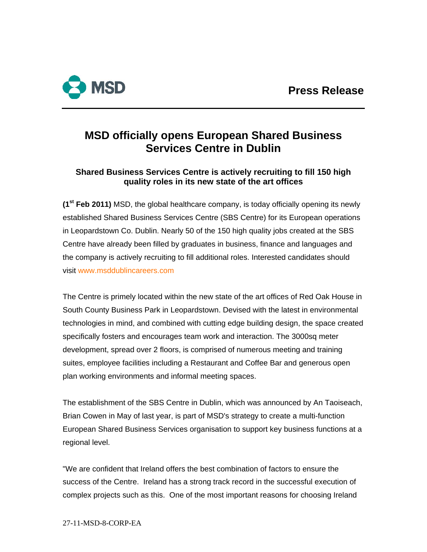

# **MSD officially opens European Shared Business Services Centre in Dublin**

# **Shared Business Services Centre is actively recruiting to fill 150 high quality roles in its new state of the art offices**

**(1st Feb 2011)** MSD, the global healthcare company, is today officially opening its newly established Shared Business Services Centre (SBS Centre) for its European operations in Leopardstown Co. Dublin. Nearly 50 of the 150 high quality jobs created at the SBS Centre have already been filled by graduates in business, finance and languages and the company is actively recruiting to fill additional roles. Interested candidates should visit [www.msddublincareers.com](http://www.msddublincareers.com/)

The Centre is primely located within the new state of the art offices of Red Oak House in South County Business Park in Leopardstown. Devised with the latest in environmental technologies in mind, and combined with cutting edge building design, the space created specifically fosters and encourages team work and interaction. The 3000sq meter development, spread over 2 floors, is comprised of numerous meeting and training suites, employee facilities including a Restaurant and Coffee Bar and generous open plan working environments and informal meeting spaces.

The establishment of the SBS Centre in Dublin, which was announced by An Taoiseach, Brian Cowen in May of last year, is part of MSD's strategy to create a multi-function European Shared Business Services organisation to support key business functions at a regional level.

"We are confident that Ireland offers the best combination of factors to ensure the success of the Centre. Ireland has a strong track record in the successful execution of complex projects such as this. One of the most important reasons for choosing Ireland